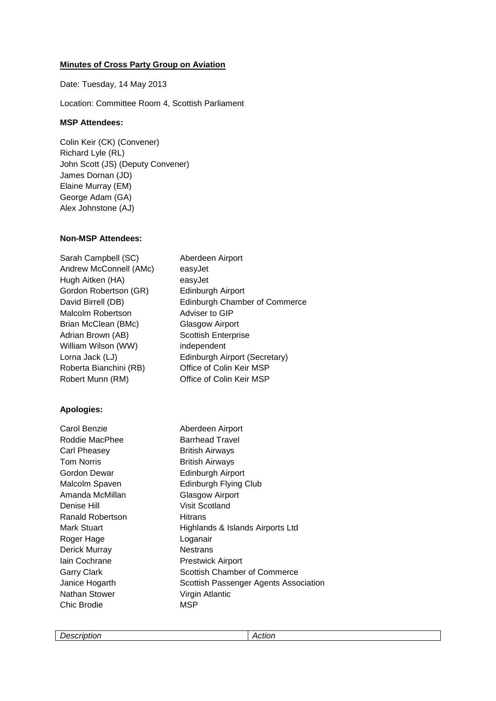## **Minutes of Cross Party Group on Aviation**

Date: Tuesday, 14 May 2013

Location: Committee Room 4, Scottish Parliament

## **MSP Attendees:**

Colin Keir (CK) (Convener) Richard Lyle (RL) John Scott (JS) (Deputy Convener) James Dornan (JD) Elaine Murray (EM) George Adam (GA) Alex Johnstone (AJ)

## **Non-MSP Attendees:**

| Sarah Campbell (SC)    | Aberdeen Airport                     |
|------------------------|--------------------------------------|
| Andrew McConnell (AMc) | easyJet                              |
| Hugh Aitken (HA)       | easyJet                              |
| Gordon Robertson (GR)  | Edinburgh Airport                    |
| David Birrell (DB)     | <b>Edinburgh Chamber of Commerce</b> |
| Malcolm Robertson      | Adviser to GIP                       |
| Brian McClean (BMc)    | Glasgow Airport                      |
| Adrian Brown (AB)      | <b>Scottish Enterprise</b>           |
| William Wilson (WW)    | independent                          |
| Lorna Jack (LJ)        | Edinburgh Airport (Secretary)        |
| Roberta Bianchini (RB) | Office of Colin Keir MSP             |
| Robert Munn (RM)       | Office of Colin Keir MSP             |
|                        |                                      |

## **Apologies:**

| Carol Benzie       | Aberdeen Airport                      |
|--------------------|---------------------------------------|
| Roddie MacPhee     | <b>Barrhead Travel</b>                |
| Carl Pheasey       | <b>British Airways</b>                |
| <b>Tom Norris</b>  | <b>British Airways</b>                |
| Gordon Dewar       | Edinburgh Airport                     |
| Malcolm Spaven     | <b>Edinburgh Flying Club</b>          |
| Amanda McMillan    | Glasgow Airport                       |
| Denise Hill        | Visit Scotland                        |
| Ranald Robertson   | Hitrans                               |
| Mark Stuart        | Highlands & Islands Airports Ltd      |
| Roger Hage         | Loganair                              |
| Derick Murray      | <b>Nestrans</b>                       |
| lain Cochrane      | <b>Prestwick Airport</b>              |
| <b>Garry Clark</b> | Scottish Chamber of Commerce          |
| Janice Hogarth     | Scottish Passenger Agents Association |
| Nathan Stower      | Virgin Atlantic                       |
| Chic Brodie        | MSP                                   |
|                    |                                       |

*Description Action*